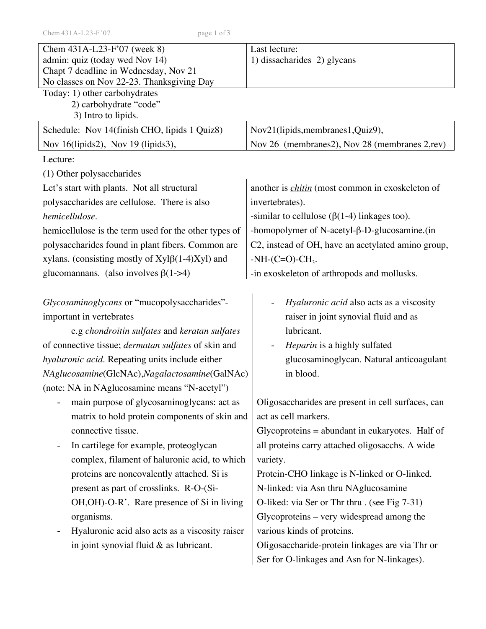| Chem 431A-L23-F'07 (week 8)<br>admin: quiz (today wed Nov 14)<br>Chapt 7 deadline in Wednesday, Nov 21<br>No classes on Nov 22-23. Thanksgiving Day                                                                            | Last lecture:<br>1) dissacharides 2) glycans                                                                                                                                                   |  |  |
|--------------------------------------------------------------------------------------------------------------------------------------------------------------------------------------------------------------------------------|------------------------------------------------------------------------------------------------------------------------------------------------------------------------------------------------|--|--|
| Today: 1) other carbohydrates<br>2) carbohydrate "code"<br>3) Intro to lipids.                                                                                                                                                 |                                                                                                                                                                                                |  |  |
| Schedule: Nov 14(finish CHO, lipids 1 Quiz8)                                                                                                                                                                                   | Nov21(lipids, membranes1, Quiz9),                                                                                                                                                              |  |  |
| Nov 16(lipids2), Nov 19 (lipids3),                                                                                                                                                                                             | Nov 26 (membranes2), Nov 28 (membranes 2,rev)                                                                                                                                                  |  |  |
| Lecture:                                                                                                                                                                                                                       |                                                                                                                                                                                                |  |  |
| (1) Other polysaccharides                                                                                                                                                                                                      |                                                                                                                                                                                                |  |  |
| Let's start with plants. Not all structural                                                                                                                                                                                    | another is <i>chitin</i> (most common in exoskeleton of                                                                                                                                        |  |  |
| polysaccharides are cellulose. There is also                                                                                                                                                                                   | invertebrates).                                                                                                                                                                                |  |  |
| hemicellulose.                                                                                                                                                                                                                 | -similar to cellulose ( $\beta$ (1-4) linkages too).                                                                                                                                           |  |  |
| hemicellulose is the term used for the other types of                                                                                                                                                                          | -homopolymer of N-acetyl- $\beta$ -D-glucosamine. (in                                                                                                                                          |  |  |
| polysaccharides found in plant fibers. Common are                                                                                                                                                                              | C2, instead of OH, have an acetylated amino group,                                                                                                                                             |  |  |
| xylans. (consisting mostly of $Xyl\beta(1-4)Xyl$ ) and                                                                                                                                                                         | $-NH$ - $(C=O)$ - $CH3$ .                                                                                                                                                                      |  |  |
| glucomannans. (also involves $\beta(1-24)$                                                                                                                                                                                     | -in exoskeleton of arthropods and mollusks.                                                                                                                                                    |  |  |
| Glycosaminoglycans or "mucopolysaccharides"-<br>important in vertebrates<br>e.g chondroitin sulfates and keratan sulfates<br>of connective tissue; <i>dermatan sulfates</i> of skin and                                        | <i>Hyaluronic acid</i> also acts as a viscosity<br>raiser in joint synovial fluid and as<br>lubricant.<br>Heparin is a highly sulfated                                                         |  |  |
| hyaluronic acid. Repeating units include either                                                                                                                                                                                | glucosaminoglycan. Natural anticoagulant                                                                                                                                                       |  |  |
| NAglucosamine(GlcNAc), Nagalactosamine(GalNAc)                                                                                                                                                                                 | in blood.                                                                                                                                                                                      |  |  |
| (note: NA in NAglucosamine means "N-acetyl")                                                                                                                                                                                   |                                                                                                                                                                                                |  |  |
| main purpose of glycosaminoglycans: act as<br>matrix to hold protein components of skin and<br>connective tissue.<br>In cartilege for example, proteoglycan<br>$\blacksquare$<br>complex, filament of haluronic acid, to which | Oligosaccharides are present in cell surfaces, can<br>act as cell markers.<br>Glycoproteins $=$ abundant in eukaryotes. Half of<br>all proteins carry attached oligosacchs. A wide<br>variety. |  |  |
| proteins are noncovalently attached. Si is                                                                                                                                                                                     | Protein-CHO linkage is N-linked or O-linked.                                                                                                                                                   |  |  |
| present as part of crosslinks. R-O-(Si-                                                                                                                                                                                        | N-linked: via Asn thru NAglucosamine                                                                                                                                                           |  |  |
| OH, OH)-O-R'. Rare presence of Si in living                                                                                                                                                                                    | O-liked: via Ser or Thr thru . (see Fig 7-31)                                                                                                                                                  |  |  |
| organisms.                                                                                                                                                                                                                     | Glycoproteins – very widespread among the                                                                                                                                                      |  |  |
| Hyaluronic acid also acts as a viscosity raiser<br>$\overline{\phantom{0}}$                                                                                                                                                    | various kinds of proteins.                                                                                                                                                                     |  |  |
| in joint synovial fluid $&$ as lubricant.                                                                                                                                                                                      | Oligosaccharide-protein linkages are via Thr or                                                                                                                                                |  |  |
|                                                                                                                                                                                                                                | Ser for O-linkages and Asn for N-linkages).                                                                                                                                                    |  |  |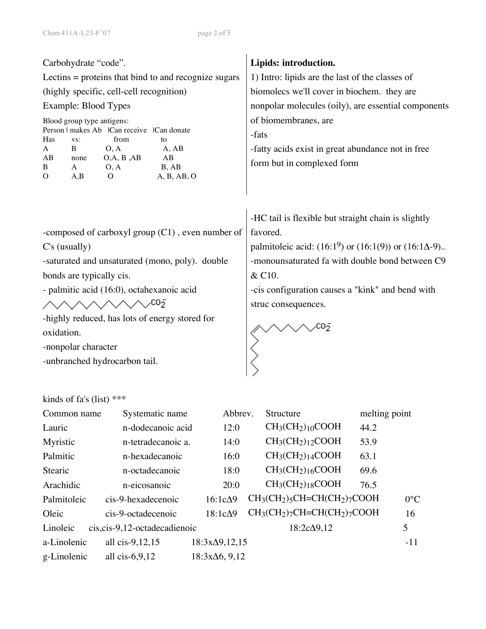| Carbohydrate "code".<br>Lectins $=$ proteins that bind to and recognize sugars<br>(highly specific, cell-cell recognition)<br>Example: Blood Types<br>Blood group type antigens:<br>Person   makes Ab   Can receive   Can donate<br>Has<br>from<br>VS:<br>to<br>$\bf{B}$<br>O, A<br>A, AB<br>A<br>O, A, B, AB<br>AB<br>AB<br>none<br>B, AB<br>O, A<br>B<br>A<br>A,B<br>A, B, AB, O<br>$\Omega$<br>$\Omega$ | Lipids: introduction.<br>1) Intro: lipids are the last of the classes of<br>biomolecs we'll cover in biochem. they are<br>nonpolar molecules (oily), are essential components<br>of biomembranes, are<br>-fats<br>-fatty acids exist in great abundance not in free<br>form but in complexed form |
|------------------------------------------------------------------------------------------------------------------------------------------------------------------------------------------------------------------------------------------------------------------------------------------------------------------------------------------------------------------------------------------------------------|---------------------------------------------------------------------------------------------------------------------------------------------------------------------------------------------------------------------------------------------------------------------------------------------------|
| -composed of carboxyl group (C1), even number of<br>$C's$ (usually)<br>-saturated and unsaturated (mono, poly). double<br>bonds are typically cis.<br>- palmitic acid (16:0), octahexanoic acid<br>$\wedge\wedge\wedge\wedge\wedge\wedge\wedge\vee^{\mathrm{co}_{\bar{2}}}$<br>-highly reduced, has lots of energy stored for<br>oxidation.<br>-nonpolar character<br>-unbranched hydrocarbon tail.        | -HC tail is flexible but straight chain is slightly<br>favored.<br>palmitoleic acid: $(16:1^9)$ or $(16:1(9))$ or $(16:1\Delta-9)$ .<br>-monounsaturated fa with double bond between C9<br>& C10.<br>-cis configuration causes a "kink" and bend with<br>struc consequences.                      |

## kinds of fa's (list) \*\*\*

| Common name | Systematic name                | Abbrev.               | Structure                  | melting point |               |
|-------------|--------------------------------|-----------------------|----------------------------|---------------|---------------|
| Lauric      | n-dodecanoic acid              | 12:0                  | $CH3(CH2)10COOH$           | 44.2          |               |
| Myristic    | n-tetradecanoic a.             | 14:0                  | $CH3(CH2)12COOH$           | 53.9          |               |
| Palmitic    | n-hexadecanoic                 | 16:0                  | $CH3(CH2)14COOH$           | 63.1          |               |
| Stearic     | n-octadecanoic                 | 18:0                  | $CH3(CH2)16COOH$           | 69.6          |               |
| Arachidic   | n-eicosanoic                   | 20:0                  | $CH3(CH2)18COOH$           | 76.5          |               |
| Palmitoleic | cis-9-hexadecenoic             | $16:1c\Delta9$        | $CH3(CH2)5CH=CH(CH2)7COOH$ |               | $0^{\circ}$ C |
| Oleic       | cis-9-octadecenoic             | $18:1c\Delta9$        | $CH3(CH2)7CH=CH(CH2)7COOH$ |               | 16            |
| Linoleic    | cis, cis-9, 12-octadecadienoic |                       | $18:2c\Delta9,12$          |               | 5             |
| a-Linolenic | all cis-9,12,15                | $18:3x\Delta9,12,15$  |                            |               | $-11$         |
| g-Linolenic | all $cis-6,9,12$               | $18:3x\Delta 6, 9,12$ |                            |               |               |